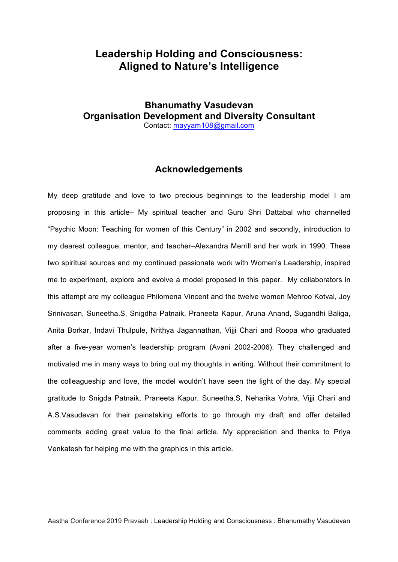## **Leadership Holding and Consciousness: Aligned to Nature's Intelligence**

## **Bhanumathy Vasudevan Organisation Development and Diversity Consultant**  Contact: mayyam108@gmail.com

## **Acknowledgements**

My deep gratitude and love to two precious beginnings to the leadership model I am proposing in this article– My spiritual teacher and Guru Shri Dattabal who channelled "Psychic Moon: Teaching for women of this Century" in 2002 and secondly, introduction to my dearest colleague, mentor, and teacher–Alexandra Merrill and her work in 1990. These two spiritual sources and my continued passionate work with Women's Leadership, inspired me to experiment, explore and evolve a model proposed in this paper. My collaborators in this attempt are my colleague Philomena Vincent and the twelve women Mehroo Kotval, Joy Srinivasan, Suneetha.S, Snigdha Patnaik, Praneeta Kapur, Aruna Anand, Sugandhi Baliga, Anita Borkar, Indavi Thulpule, Nrithya Jagannathan, Vijji Chari and Roopa who graduated after a five-year women's leadership program (Avani 2002-2006). They challenged and motivated me in many ways to bring out my thoughts in writing. Without their commitment to the colleagueship and love, the model wouldn't have seen the light of the day. My special gratitude to Snigda Patnaik, Praneeta Kapur, Suneetha.S, Neharika Vohra, Vijji Chari and A.S.Vasudevan for their painstaking efforts to go through my draft and offer detailed comments adding great value to the final article. My appreciation and thanks to Priya Venkatesh for helping me with the graphics in this article.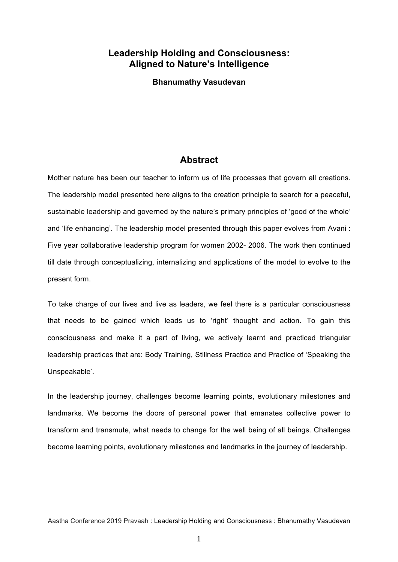## **Leadership Holding and Consciousness: Aligned to Nature's Intelligence**

**Bhanumathy Vasudevan**

## **Abstract**

Mother nature has been our teacher to inform us of life processes that govern all creations. The leadership model presented here aligns to the creation principle to search for a peaceful, sustainable leadership and governed by the nature's primary principles of 'good of the whole' and 'life enhancing'. The leadership model presented through this paper evolves from Avani : Five year collaborative leadership program for women 2002- 2006. The work then continued till date through conceptualizing, internalizing and applications of the model to evolve to the present form.

To take charge of our lives and live as leaders, we feel there is a particular consciousness that needs to be gained which leads us to 'right' thought and action*.* To gain this consciousness and make it a part of living, we actively learnt and practiced triangular leadership practices that are: Body Training, Stillness Practice and Practice of 'Speaking the Unspeakable'.

In the leadership journey, challenges become learning points, evolutionary milestones and landmarks. We become the doors of personal power that emanates collective power to transform and transmute, what needs to change for the well being of all beings. Challenges become learning points, evolutionary milestones and landmarks in the journey of leadership.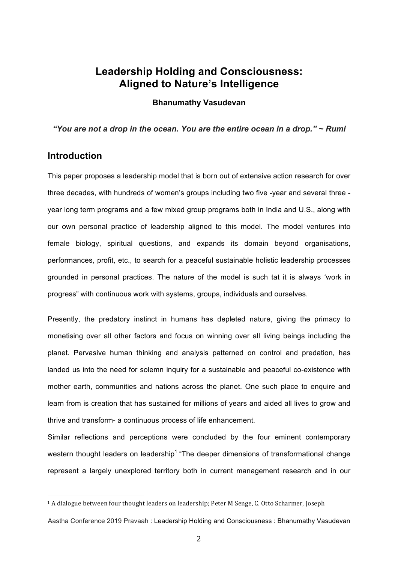## **Leadership Holding and Consciousness: Aligned to Nature's Intelligence**

**Bhanumathy Vasudevan**

*"You are not a drop in the ocean. You are the entire ocean in a drop." ~ Rumi*

## **Introduction**

 

This paper proposes a leadership model that is born out of extensive action research for over three decades, with hundreds of women's groups including two five -year and several three year long term programs and a few mixed group programs both in India and U.S., along with our own personal practice of leadership aligned to this model. The model ventures into female biology, spiritual questions, and expands its domain beyond organisations, performances, profit, etc., to search for a peaceful sustainable holistic leadership processes grounded in personal practices. The nature of the model is such tat it is always 'work in progress" with continuous work with systems, groups, individuals and ourselves.

Presently, the predatory instinct in humans has depleted nature, giving the primacy to monetising over all other factors and focus on winning over all living beings including the planet. Pervasive human thinking and analysis patterned on control and predation, has landed us into the need for solemn inquiry for a sustainable and peaceful co-existence with mother earth, communities and nations across the planet. One such place to enquire and learn from is creation that has sustained for millions of years and aided all lives to grow and thrive and transform- a continuous process of life enhancement.

Similar reflections and perceptions were concluded by the four eminent contemporary western thought leaders on leadership<sup>1</sup> "The deeper dimensions of transformational change represent a largely unexplored territory both in current management research and in our

 $1$  A dialogue between four thought leaders on leadership; Peter M Senge, C. Otto Scharmer, Joseph

Aastha Conference 2019 Pravaah : Leadership Holding and Consciousness : Bhanumathy Vasudevan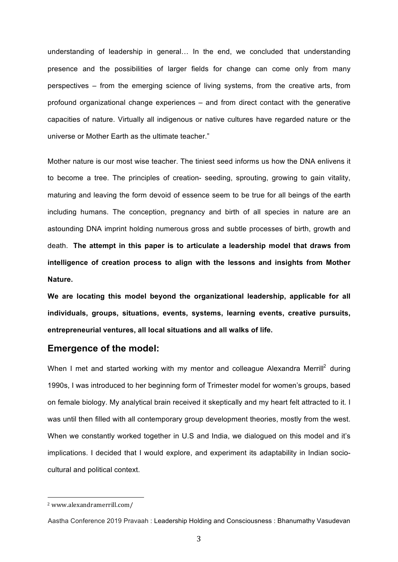understanding of leadership in general… In the end, we concluded that understanding presence and the possibilities of larger fields for change can come only from many perspectives – from the emerging science of living systems, from the creative arts, from profound organizational change experiences – and from direct contact with the generative capacities of nature. Virtually all indigenous or native cultures have regarded nature or the universe or Mother Earth as the ultimate teacher."

Mother nature is our most wise teacher. The tiniest seed informs us how the DNA enlivens it to become a tree. The principles of creation- seeding, sprouting, growing to gain vitality, maturing and leaving the form devoid of essence seem to be true for all beings of the earth including humans. The conception, pregnancy and birth of all species in nature are an astounding DNA imprint holding numerous gross and subtle processes of birth, growth and death. **The attempt in this paper is to articulate a leadership model that draws from intelligence of creation process to align with the lessons and insights from Mother Nature.**

**We are locating this model beyond the organizational leadership, applicable for all individuals, groups, situations, events, systems, learning events, creative pursuits, entrepreneurial ventures, all local situations and all walks of life.** 

## **Emergence of the model:**

When I met and started working with my mentor and colleague Alexandra Merrill<sup>2</sup> during 1990s, I was introduced to her beginning form of Trimester model for women's groups, based on female biology. My analytical brain received it skeptically and my heart felt attracted to it. I was until then filled with all contemporary group development theories, mostly from the west. When we constantly worked together in U.S and India, we dialogued on this model and it's implications. I decided that I would explore, and experiment its adaptability in Indian sociocultural and political context.

<sup>2</sup> www.alexandramerrill.com/

Aastha Conference 2019 Pravaah : Leadership Holding and Consciousness : Bhanumathy Vasudevan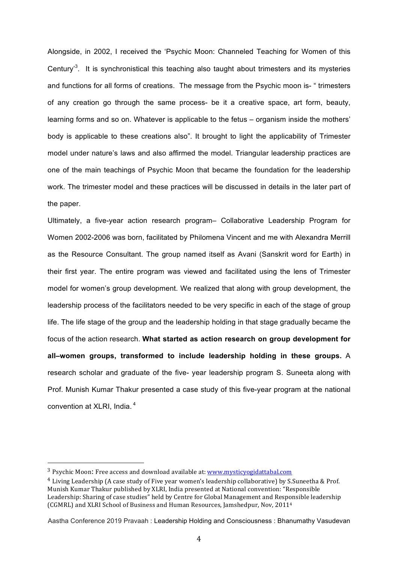Alongside, in 2002, I received the 'Psychic Moon: Channeled Teaching for Women of this Century<sup>3</sup>. It is synchronistical this teaching also taught about trimesters and its mysteries and functions for all forms of creations. The message from the Psychic moon is- " trimesters of any creation go through the same process- be it a creative space, art form, beauty, learning forms and so on. Whatever is applicable to the fetus – organism inside the mothers' body is applicable to these creations also". It brought to light the applicability of Trimester model under nature's laws and also affirmed the model. Triangular leadership practices are one of the main teachings of Psychic Moon that became the foundation for the leadership work. The trimester model and these practices will be discussed in details in the later part of the paper.

Ultimately, a five-year action research program– Collaborative Leadership Program for Women 2002-2006 was born, facilitated by Philomena Vincent and me with Alexandra Merrill as the Resource Consultant. The group named itself as Avani (Sanskrit word for Earth) in their first year. The entire program was viewed and facilitated using the lens of Trimester model for women's group development. We realized that along with group development, the leadership process of the facilitators needed to be very specific in each of the stage of group life. The life stage of the group and the leadership holding in that stage gradually became the focus of the action research. **What started as action research on group development for all–women groups, transformed to include leadership holding in these groups.** A research scholar and graduate of the five- year leadership program S. Suneeta along with Prof. Munish Kumar Thakur presented a case study of this five-year program at the national convention at XLRI, India. <sup>4</sup>

 

 $3$  Psychic Moon: Free access and download available at: www.mysticyogidattabal.com

 $4$  Living Leadership (A case study of Five year women's leadership collaborative) by S.Suneetha & Prof. Munish Kumar Thakur published by XLRI, India presented at National convention: "Responsible Leadership: Sharing of case studies" held by Centre for Global Management and Responsible leadership (CGMRL) and XLRI School of Business and Human Resources, Jamshedpur, Nov, 2011<sup>4</sup>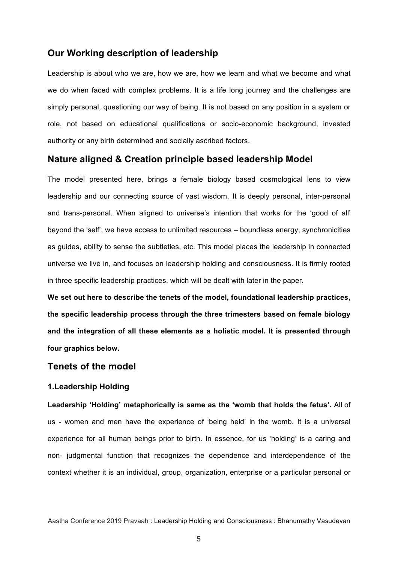## **Our Working description of leadership**

Leadership is about who we are, how we are, how we learn and what we become and what we do when faced with complex problems. It is a life long journey and the challenges are simply personal, questioning our way of being. It is not based on any position in a system or role, not based on educational qualifications or socio-economic background, invested authority or any birth determined and socially ascribed factors.

## **Nature aligned & Creation principle based leadership Model**

The model presented here, brings a female biology based cosmological lens to view leadership and our connecting source of vast wisdom. It is deeply personal, inter-personal and trans-personal. When aligned to universe's intention that works for the 'good of all' beyond the 'self', we have access to unlimited resources – boundless energy, synchronicities as guides, ability to sense the subtleties, etc. This model places the leadership in connected universe we live in, and focuses on leadership holding and consciousness. It is firmly rooted in three specific leadership practices, which will be dealt with later in the paper.

**We set out here to describe the tenets of the model, foundational leadership practices, the specific leadership process through the three trimesters based on female biology and the integration of all these elements as a holistic model. It is presented through four graphics below.** 

## **Tenets of the model**

#### **1.Leadership Holding**

**Leadership 'Holding' metaphorically is same as the 'womb that holds the fetus'.** All of us - women and men have the experience of 'being held' in the womb. It is a universal experience for all human beings prior to birth. In essence, for us 'holding' is a caring and non- judgmental function that recognizes the dependence and interdependence of the context whether it is an individual, group, organization, enterprise or a particular personal or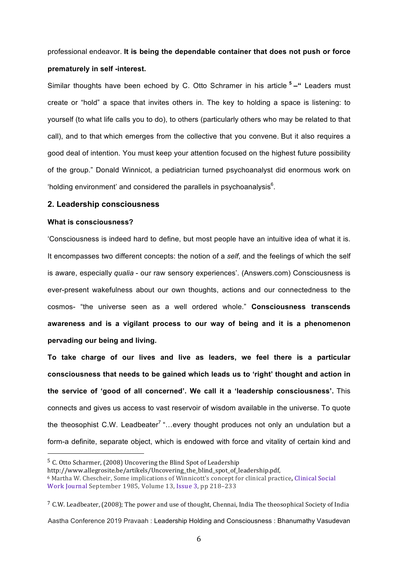professional endeavor. **It is being the dependable container that does not push or force prematurely in self -interest.**

Similar thoughts have been echoed by C. Otto Schramer in his article **<sup>5</sup> –"** Leaders must create or "hold" a space that invites others in. The key to holding a space is listening: to yourself (to what life calls you to do), to others (particularly others who may be related to that call), and to that which emerges from the collective that you convene. But it also requires a good deal of intention. You must keep your attention focused on the highest future possibility of the group." Donald Winnicot, a pediatrician turned psychoanalyst did enormous work on 'holding environment' and considered the parallels in psychoanalysis $<sup>6</sup>$ .</sup>

#### **2. Leadership consciousness**

#### **What is consciousness?**

'Consciousness is indeed hard to define, but most people have an intuitive idea of what it is. It encompasses two different concepts: the notion of a *self*, and the feelings of which the self is aware, especially *qualia* - our raw sensory experiences'. (Answers.com) Consciousness is ever-present wakefulness about our own thoughts, actions and our connectedness to the cosmos- "the universe seen as a well ordered whole." **Consciousness transcends awareness and is a vigilant process to our way of being and it is a phenomenon pervading our being and living.**

**To take charge of our lives and live as leaders, we feel there is a particular consciousness that needs to be gained which leads us to 'right' thought and action in the service of 'good of all concerned'. We call it a 'leadership consciousness'.** This connects and gives us access to vast reservoir of wisdom available in the universe. To quote the theosophist C.W. Leadbeater<sup>7</sup> "...every thought produces not only an undulation but a form-a definite, separate object, which is endowed with force and vitality of certain kind and

 $5$  C. Otto Scharmer, (2008) Uncovering the Blind Spot of Leadership

http://www.allegrosite.be/artikels/Uncovering\_the\_blind\_spot\_of\_leadership.pdf, <sup>6</sup> Martha W. Chescheir, Some implications of Winnicott's concept for clinical practice, Clinical Social Work Journal September 1985, Volume 13, Issue 3, pp 218–233

 $7$  C.W. Leadbeater, (2008); The power and use of thought, Chennai, India The theosophical Society of India

Aastha Conference 2019 Pravaah : Leadership Holding and Consciousness : Bhanumathy Vasudevan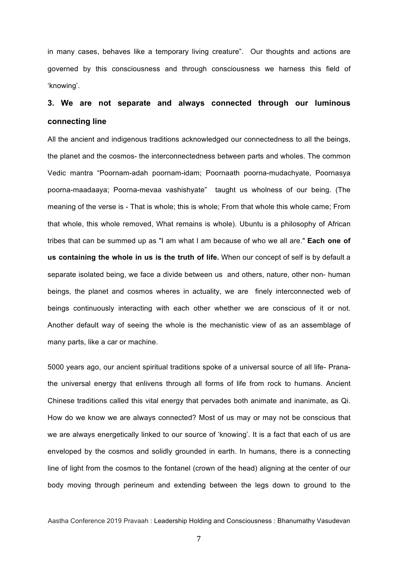in many cases, behaves like a temporary living creature". Our thoughts and actions are governed by this consciousness and through consciousness we harness this field of 'knowing'.

# **3. We are not separate and always connected through our luminous connecting line**

All the ancient and indigenous traditions acknowledged our connectedness to all the beings, the planet and the cosmos- the interconnectedness between parts and wholes. The common Vedic mantra "Poornam-adah poornam-idam; Poornaath poorna-mudachyate, Poornasya poorna-maadaaya; Poorna-mevaa vashishyate" taught us wholness of our being. (The meaning of the verse is - That is whole; this is whole; From that whole this whole came; From that whole, this whole removed, What remains is whole). Ubuntu is a philosophy of African tribes that can be summed up as "I am what I am because of who we all are." **Each one of us containing the whole in us is the truth of life.** When our concept of self is by default a separate isolated being, we face a divide between us and others, nature, other non- human beings, the planet and cosmos wheres in actuality, we are finely interconnected web of beings continuously interacting with each other whether we are conscious of it or not. Another default way of seeing the whole is the mechanistic view of as an assemblage of many parts, like a car or machine.

5000 years ago, our ancient spiritual traditions spoke of a universal source of all life- Pranathe universal energy that enlivens through all forms of life from rock to humans. Ancient Chinese traditions called this vital energy that pervades both animate and inanimate, as Qi. How do we know we are always connected? Most of us may or may not be conscious that we are always energetically linked to our source of 'knowing'. It is a fact that each of us are enveloped by the cosmos and solidly grounded in earth. In humans, there is a connecting line of light from the cosmos to the fontanel (crown of the head) aligning at the center of our body moving through perineum and extending between the legs down to ground to the

Aastha Conference 2019 Pravaah : Leadership Holding and Consciousness : Bhanumathy Vasudevan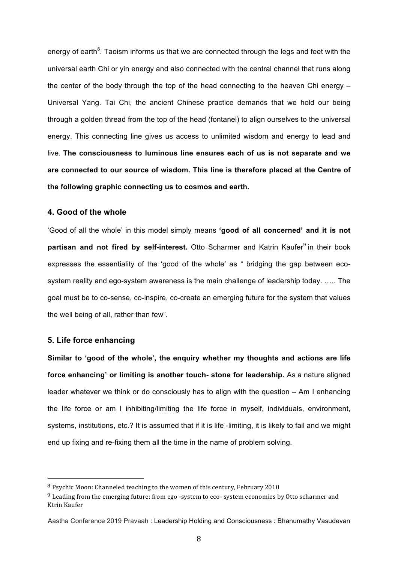energy of earth<sup>8</sup>. Taoism informs us that we are connected through the legs and feet with the universal earth Chi or yin energy and also connected with the central channel that runs along the center of the body through the top of the head connecting to the heaven Chi energy  $-$ Universal Yang. Tai Chi, the ancient Chinese practice demands that we hold our being through a golden thread from the top of the head (fontanel) to align ourselves to the universal energy. This connecting line gives us access to unlimited wisdom and energy to lead and live. **The consciousness to luminous line ensures each of us is not separate and we are connected to our source of wisdom. This line is therefore placed at the Centre of the following graphic connecting us to cosmos and earth.**

#### **4. Good of the whole**

'Good of all the whole' in this model simply means **'good of all concerned' and it is not partisan and not fired by self-interest.** Otto Scharmer and Katrin Kaufer<sup>9</sup> in their book expresses the essentiality of the 'good of the whole' as " bridging the gap between ecosystem reality and ego-system awareness is the main challenge of leadership today. ….. The goal must be to co-sense, co-inspire, co-create an emerging future for the system that values the well being of all, rather than few".

#### **5. Life force enhancing**

 

**Similar to 'good of the whole', the enquiry whether my thoughts and actions are life force enhancing' or limiting is another touch- stone for leadership.** As a nature aligned leader whatever we think or do consciously has to align with the question – Am I enhancing the life force or am I inhibiting/limiting the life force in myself, individuals, environment, systems, institutions, etc.? It is assumed that if it is life -limiting, it is likely to fail and we might end up fixing and re-fixing them all the time in the name of problem solving.

 $8$  Psychic Moon: Channeled teaching to the women of this century, February 2010

 $9$  Leading from the emerging future: from ego -system to eco- system economies by Otto scharmer and Ktrin Kaufer

Aastha Conference 2019 Pravaah : Leadership Holding and Consciousness : Bhanumathy Vasudevan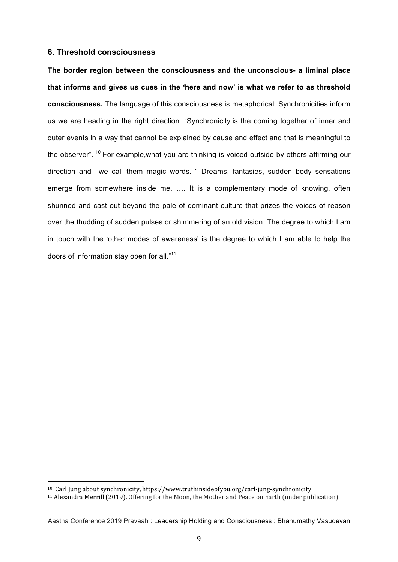#### **6. Threshold consciousness**

**The border region between the consciousness and the unconscious- a liminal place that informs and gives us cues in the 'here and now' is what we refer to as threshold consciousness.** The language of this consciousness is metaphorical. Synchronicities inform us we are heading in the right direction. "Synchronicity is the coming together of inner and outer events in a way that cannot be explained by cause and effect and that is meaningful to the observer". <sup>10</sup> For example, what you are thinking is voiced outside by others affirming our direction and we call them magic words. " Dreams, fantasies, sudden body sensations emerge from somewhere inside me. …. It is a complementary mode of knowing, often shunned and cast out beyond the pale of dominant culture that prizes the voices of reason over the thudding of sudden pulses or shimmering of an old vision. The degree to which I am in touch with the 'other modes of awareness' is the degree to which I am able to help the doors of information stay open for all."11

<sup>&</sup>lt;sup>10</sup> Carl Jung about synchronicity, https://www.truthinsideofyou.org/carl-jung-synchronicity

<sup>&</sup>lt;sup>11</sup> Alexandra Merrill (2019), Offering for the Moon, the Mother and Peace on Earth (under publication)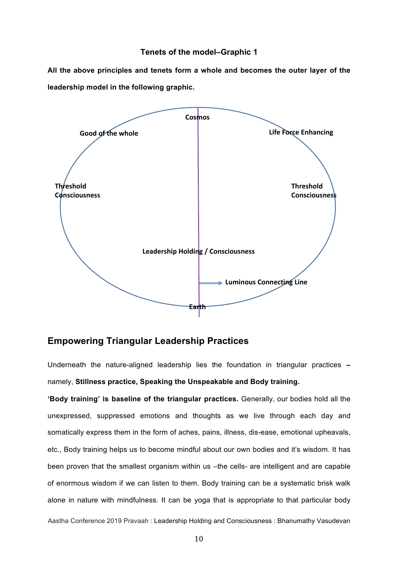#### **Tenets of the model–Graphic 1**

**All the above principles and tenets form a whole and becomes the outer layer of the leadership model in the following graphic.**



## **Empowering Triangular Leadership Practices**

Underneath the nature-aligned leadership lies the foundation in triangular practices **–** namely, **Stillness practice, Speaking the Unspeakable and Body training.**

**'Body training' is baseline of the triangular practices.** Generally, our bodies hold all the unexpressed, suppressed emotions and thoughts as we live through each day and somatically express them in the form of aches, pains, illness, dis-ease, emotional upheavals, etc., Body training helps us to become mindful about our own bodies and it's wisdom. It has been proven that the smallest organism within us –the cells- are intelligent and are capable of enormous wisdom if we can listen to them. Body training can be a systematic brisk walk alone in nature with mindfulness. It can be yoga that is appropriate to that particular body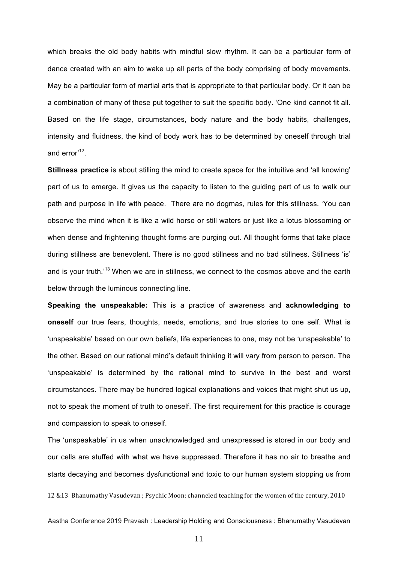which breaks the old body habits with mindful slow rhythm. It can be a particular form of dance created with an aim to wake up all parts of the body comprising of body movements. May be a particular form of martial arts that is appropriate to that particular body. Or it can be a combination of many of these put together to suit the specific body. 'One kind cannot fit all. Based on the life stage, circumstances, body nature and the body habits, challenges, intensity and fluidness, the kind of body work has to be determined by oneself through trial and error<sup>12</sup>.

**Stillness practice** is about stilling the mind to create space for the intuitive and 'all knowing' part of us to emerge. It gives us the capacity to listen to the guiding part of us to walk our path and purpose in life with peace. There are no dogmas, rules for this stillness. 'You can observe the mind when it is like a wild horse or still waters or just like a lotus blossoming or when dense and frightening thought forms are purging out. All thought forms that take place during stillness are benevolent. There is no good stillness and no bad stillness. Stillness 'is' and is your truth.<sup>13</sup> When we are in stillness, we connect to the cosmos above and the earth below through the luminous connecting line.

**Speaking the unspeakable:** This is a practice of awareness and **acknowledging to oneself** our true fears, thoughts, needs, emotions, and true stories to one self. What is 'unspeakable' based on our own beliefs, life experiences to one, may not be 'unspeakable' to the other. Based on our rational mind's default thinking it will vary from person to person. The 'unspeakable' is determined by the rational mind to survive in the best and worst circumstances. There may be hundred logical explanations and voices that might shut us up, not to speak the moment of truth to oneself. The first requirement for this practice is courage and compassion to speak to oneself.

The 'unspeakable' in us when unacknowledged and unexpressed is stored in our body and our cells are stuffed with what we have suppressed. Therefore it has no air to breathe and starts decaying and becomes dysfunctional and toxic to our human system stopping us from

<sup>12 &</sup>amp;13 Bhanumathy Vasudevan ; Psychic Moon: channeled teaching for the women of the century, 2010

Aastha Conference 2019 Pravaah : Leadership Holding and Consciousness : Bhanumathy Vasudevan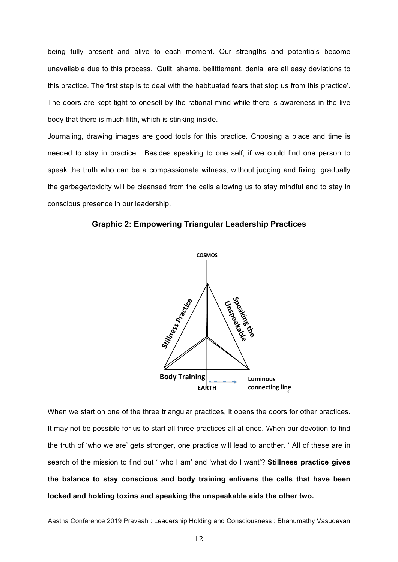being fully present and alive to each moment. Our strengths and potentials become unavailable due to this process. 'Guilt, shame, belittlement, denial are all easy deviations to this practice. The first step is to deal with the habituated fears that stop us from this practice'. The doors are kept tight to oneself by the rational mind while there is awareness in the live body that there is much filth, which is stinking inside.

Journaling, drawing images are good tools for this practice. Choosing a place and time is needed to stay in practice. Besides speaking to one self, if we could find one person to speak the truth who can be a compassionate witness, without judging and fixing, gradually the garbage/toxicity will be cleansed from the cells allowing us to stay mindful and to stay in conscious presence in our leadership.



**Graphic 2: Empowering Triangular Leadership Practices** 

When we start on one of the three triangular practices, it opens the doors for other practices. It may not be possible for us to start all three practices all at once. When our devotion to find the truth of 'who we are' gets stronger, one practice will lead to another. ' All of these are in search of the mission to find out ' who I am' and 'what do I want'? **Stillness practice gives the balance to stay conscious and body training enlivens the cells that have been locked and holding toxins and speaking the unspeakable aids the other two.**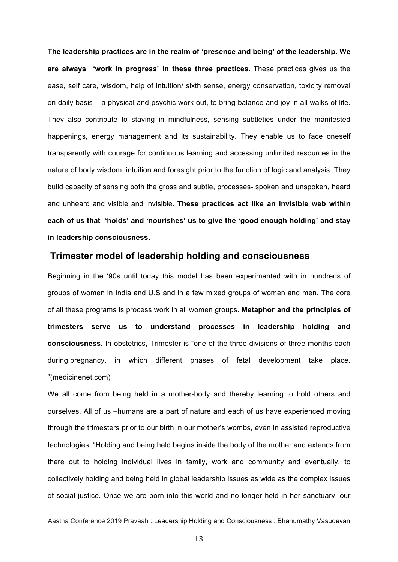**The leadership practices are in the realm of 'presence and being' of the leadership. We are always 'work in progress' in these three practices.** These practices gives us the ease, self care, wisdom, help of intuition/ sixth sense, energy conservation, toxicity removal on daily basis – a physical and psychic work out, to bring balance and joy in all walks of life. They also contribute to staying in mindfulness, sensing subtleties under the manifested happenings, energy management and its sustainability. They enable us to face oneself transparently with courage for continuous learning and accessing unlimited resources in the nature of body wisdom, intuition and foresight prior to the function of logic and analysis. They build capacity of sensing both the gross and subtle, processes- spoken and unspoken, heard and unheard and visible and invisible. **These practices act like an invisible web within each of us that 'holds' and 'nourishes' us to give the 'good enough holding' and stay in leadership consciousness.**

## **Trimester model of leadership holding and consciousness**

Beginning in the '90s until today this model has been experimented with in hundreds of groups of women in India and U.S and in a few mixed groups of women and men. The core of all these programs is process work in all women groups. **Metaphor and the principles of trimesters serve us to understand processes in leadership holding and consciousness.** In obstetrics, Trimester is "one of the three divisions of three months each during pregnancy, in which different phases of fetal development take place. "(medicinenet.com)

We all come from being held in a mother-body and thereby learning to hold others and ourselves. All of us –humans are a part of nature and each of us have experienced moving through the trimesters prior to our birth in our mother's wombs, even in assisted reproductive technologies. "Holding and being held begins inside the body of the mother and extends from there out to holding individual lives in family, work and community and eventually, to collectively holding and being held in global leadership issues as wide as the complex issues of social justice. Once we are born into this world and no longer held in her sanctuary, our

Aastha Conference 2019 Pravaah : Leadership Holding and Consciousness : Bhanumathy Vasudevan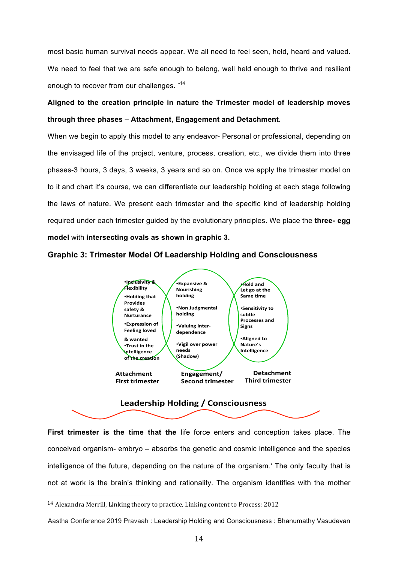most basic human survival needs appear. We all need to feel seen, held, heard and valued. We need to feel that we are safe enough to belong, well held enough to thrive and resilient enough to recover from our challenges. "14

# **Aligned to the creation principle in nature the Trimester model of leadership moves through three phases – Attachment, Engagement and Detachment.**

When we begin to apply this model to any endeavor- Personal or professional, depending on the envisaged life of the project, venture, process, creation, etc., we divide them into three phases-3 hours, 3 days, 3 weeks, 3 years and so on. Once we apply the trimester model on to it and chart it's course, we can differentiate our leadership holding at each stage following the laws of nature. We present each trimester and the specific kind of leadership holding required under each trimester guided by the evolutionary principles. We place the **three- egg model** with **intersecting ovals as shown in graphic 3.**

#### **Graphic 3: Trimester Model Of Leadership Holding and Consciousness**



#### **Leadership Holding / Consciousness**

**First trimester is the time that the** life force enters and conception takes place. The conceived organism- embryo – absorbs the genetic and cosmic intelligence and the species intelligence of the future, depending on the nature of the organism.' The only faculty that is not at work is the brain's thinking and rationality. The organism identifies with the mother

 $14$  Alexandra Merrill, Linking theory to practice, Linking content to Process: 2012

Aastha Conference 2019 Pravaah : Leadership Holding and Consciousness : Bhanumathy Vasudevan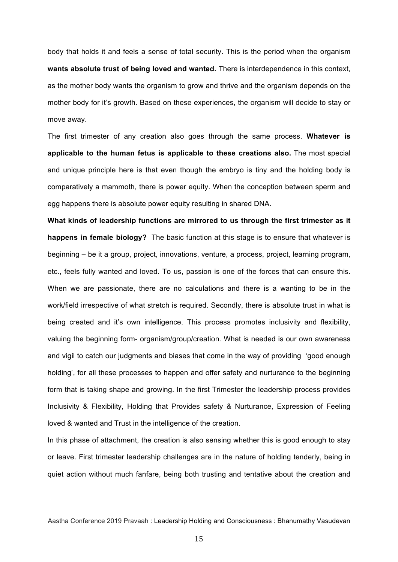body that holds it and feels a sense of total security. This is the period when the organism **wants absolute trust of being loved and wanted.** There is interdependence in this context, as the mother body wants the organism to grow and thrive and the organism depends on the mother body for it's growth. Based on these experiences, the organism will decide to stay or move away.

The first trimester of any creation also goes through the same process. **Whatever is applicable to the human fetus is applicable to these creations also.** The most special and unique principle here is that even though the embryo is tiny and the holding body is comparatively a mammoth, there is power equity. When the conception between sperm and egg happens there is absolute power equity resulting in shared DNA.

**What kinds of leadership functions are mirrored to us through the first trimester as it happens in female biology?** The basic function at this stage is to ensure that whatever is beginning – be it a group, project, innovations, venture, a process, project, learning program, etc., feels fully wanted and loved. To us, passion is one of the forces that can ensure this. When we are passionate, there are no calculations and there is a wanting to be in the work/field irrespective of what stretch is required. Secondly, there is absolute trust in what is being created and it's own intelligence. This process promotes inclusivity and flexibility, valuing the beginning form- organism/group/creation. What is needed is our own awareness and vigil to catch our judgments and biases that come in the way of providing 'good enough holding', for all these processes to happen and offer safety and nurturance to the beginning form that is taking shape and growing. In the first Trimester the leadership process provides Inclusivity & Flexibility, Holding that Provides safety & Nurturance, Expression of Feeling loved & wanted and Trust in the intelligence of the creation.

In this phase of attachment, the creation is also sensing whether this is good enough to stay or leave. First trimester leadership challenges are in the nature of holding tenderly, being in quiet action without much fanfare, being both trusting and tentative about the creation and

Aastha Conference 2019 Pravaah : Leadership Holding and Consciousness : Bhanumathy Vasudevan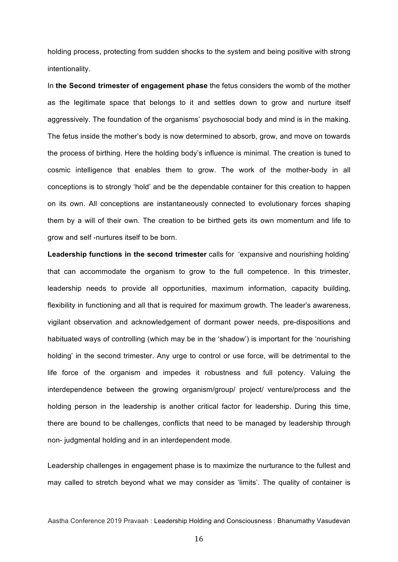holding process, protecting from sudden shocks to the system and being positive with strong intentionality.

In **the Second trimester of engagement phase** the fetus considers the womb of the mother as the legitimate space that belongs to it and settles down to grow and nurture itself aggressively. The foundation of the organisms' psychosocial body and mind is in the making*.* The fetus inside the mother's body is now determined to absorb, grow, and move on towards the process of birthing. Here the holding body's influence is minimal. The creation is tuned to cosmic intelligence that enables them to grow. The work of the mother-body in all conceptions is to strongly 'hold' and be the dependable container for this creation to happen on its own. All conceptions are instantaneously connected to evolutionary forces shaping them by a will of their own*.* The creation to be birthed gets its own momentum and life to grow and self -nurtures itself to be born.

**Leadership functions in the second trimester** calls for 'expansive and nourishing holding' that can accommodate the organism to grow to the full competence. In this trimester, leadership needs to provide all opportunities, maximum information, capacity building, flexibility in functioning and all that is required for maximum growth. The leader's awareness, vigilant observation and acknowledgement of dormant power needs, pre-dispositions and habituated ways of controlling (which may be in the 'shadow') is important for the 'nourishing holding' in the second trimester. Any urge to control or use force, will be detrimental to the life force of the organism and impedes it robustness and full potency. Valuing the interdependence between the growing organism/group/ project/ venture/process and the holding person in the leadership is another critical factor for leadership. During this time, there are bound to be challenges, conflicts that need to be managed by leadership through non- judgmental holding and in an interdependent mode.

Leadership challenges in engagement phase is to maximize the nurturance to the fullest and may called to stretch beyond what we may consider as 'limits'. The quality of container is

Aastha Conference 2019 Pravaah : Leadership Holding and Consciousness : Bhanumathy Vasudevan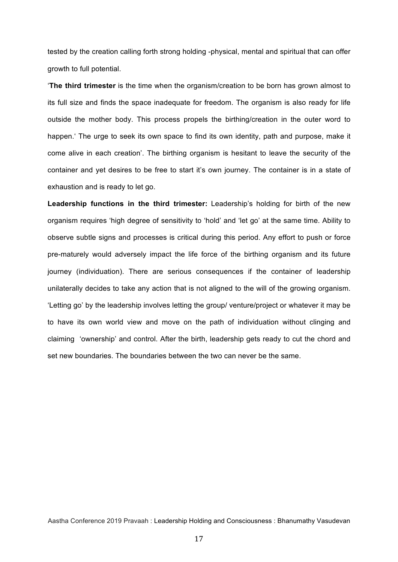tested by the creation calling forth strong holding -physical, mental and spiritual that can offer growth to full potential.

'**The third trimester** is the time when the organism/creation to be born has grown almost to its full size and finds the space inadequate for freedom. The organism is also ready for life outside the mother body. This process propels the birthing/creation in the outer word to happen.' The urge to seek its own space to find its own identity, path and purpose, make it come alive in each creation'. The birthing organism is hesitant to leave the security of the container and yet desires to be free to start it's own journey. The container is in a state of exhaustion and is ready to let go.

**Leadership functions in the third trimester:** Leadership's holding for birth of the new organism requires 'high degree of sensitivity to 'hold' and 'let go' at the same time. Ability to observe subtle signs and processes is critical during this period. Any effort to push or force pre-maturely would adversely impact the life force of the birthing organism and its future journey (individuation). There are serious consequences if the container of leadership unilaterally decides to take any action that is not aligned to the will of the growing organism. 'Letting go' by the leadership involves letting the group/ venture/project or whatever it may be to have its own world view and move on the path of individuation without clinging and claiming 'ownership' and control. After the birth, leadership gets ready to cut the chord and set new boundaries. The boundaries between the two can never be the same.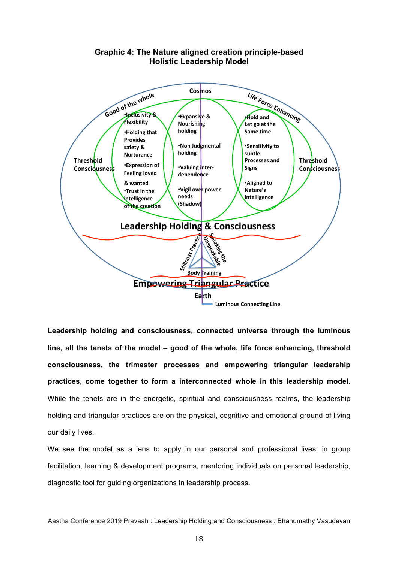

## **Graphic 4: The Nature aligned creation principle-based Holistic Leadership Model**

**Leadership holding and consciousness, connected universe through the luminous line, all the tenets of the model – good of the whole, life force enhancing, threshold consciousness, the trimester processes and empowering triangular leadership practices, come together to form a interconnected whole in this leadership model.**  While the tenets are in the energetic, spiritual and consciousness realms, the leadership holding and triangular practices are on the physical, cognitive and emotional ground of living our daily lives.

We see the model as a lens to apply in our personal and professional lives, in group facilitation, learning & development programs, mentoring individuals on personal leadership, diagnostic tool for guiding organizations in leadership process.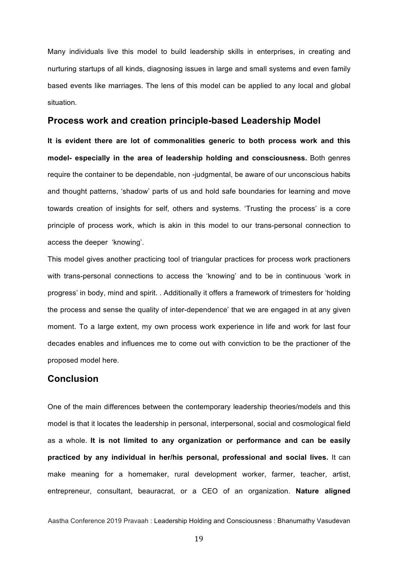Many individuals live this model to build leadership skills in enterprises, in creating and nurturing startups of all kinds, diagnosing issues in large and small systems and even family based events like marriages. The lens of this model can be applied to any local and global situation.

### **Process work and creation principle-based Leadership Model**

**It is evident there are lot of commonalities generic to both process work and this model- especially in the area of leadership holding and consciousness.** Both genres require the container to be dependable, non -judgmental, be aware of our unconscious habits and thought patterns, 'shadow' parts of us and hold safe boundaries for learning and move towards creation of insights for self, others and systems. 'Trusting the process' is a core principle of process work, which is akin in this model to our trans-personal connection to access the deeper 'knowing'.

This model gives another practicing tool of triangular practices for process work practioners with trans-personal connections to access the 'knowing' and to be in continuous 'work in progress' in body, mind and spirit. . Additionally it offers a framework of trimesters for 'holding the process and sense the quality of inter-dependence' that we are engaged in at any given moment. To a large extent, my own process work experience in life and work for last four decades enables and influences me to come out with conviction to be the practioner of the proposed model here.

## **Conclusion**

One of the main differences between the contemporary leadership theories/models and this model is that it locates the leadership in personal, interpersonal, social and cosmological field as a whole. **It is not limited to any organization or performance and can be easily practiced by any individual in her/his personal, professional and social lives.** It can make meaning for a homemaker, rural development worker, farmer, teacher, artist, entrepreneur, consultant, beauracrat, or a CEO of an organization. **Nature aligned**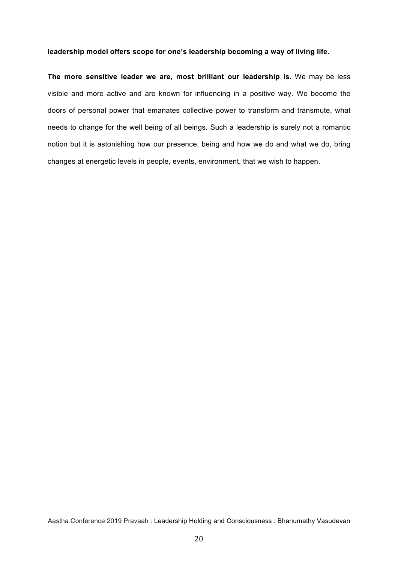#### **leadership model offers scope for one's leadership becoming a way of living life.**

**The more sensitive leader we are, most brilliant our leadership is.** We may be less visible and more active and are known for influencing in a positive way. We become the doors of personal power that emanates collective power to transform and transmute, what needs to change for the well being of all beings. Such a leadership is surely not a romantic notion but it is astonishing how our presence, being and how we do and what we do, bring changes at energetic levels in people, events, environment, that we wish to happen.